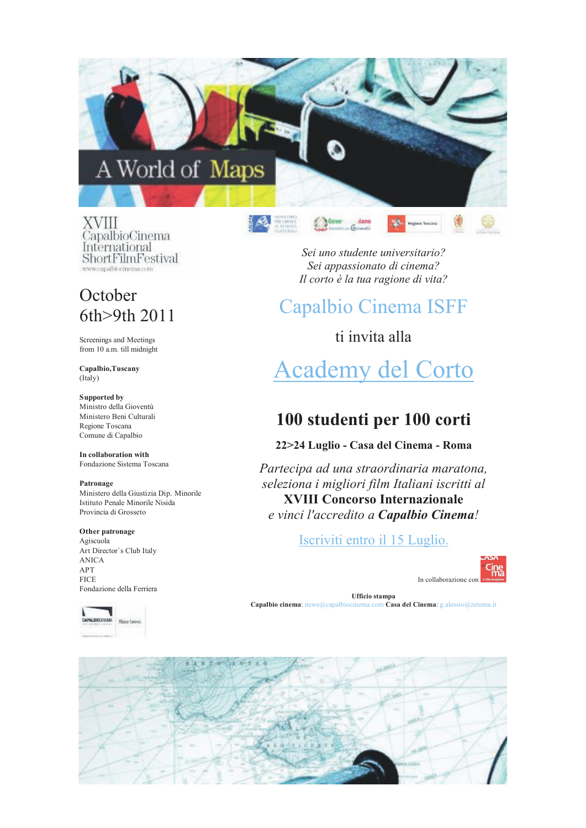## A World of Maps

XVIII CapalbioCinema International ShortFilmFestival www.canalbiocinema.com

### October  $6th > 9th$  2011

Screenings and Meetings from  $10$  a.m. till midnight

Capalbio, Tuscany  $(Italy)$ 

Supported by Ministro della Gioventù Ministero Beni Culturali Regione Toscana Comune di Capalbio

In collaboration with Fondazione Sistema Toscana

Patronage Ministero della Giustizia Dip. Minorile Istituto Penale Minorile Nisida Provincia di Grosseto

Other patronage Agiscuola Art Director's Club Italy **ANICA**  $\triangle PT$ **FICE** Fondazione della Ferriera



Sei uno studente universitario? Sei appassionato di cinema? Il corto è la tua ragione di vita?

 $6<sup>4</sup>$ 

Gove

A,

## **Capalbio Cinema ISFF**

ti invita alla

# Academy del Corto

## 100 studenti per 100 corti

22>24 Luglio - Casa del Cinema - Roma

Partecipa ad una straordinaria maratona, seleziona i migliori film Italiani iscritti al **XVIII Concorso Internazionale** e vinci l'accredito a Capalbio Cinema!

Iscriviti entro il 15 Luglio.



In collaborazione con

Ufficio stampa Capalbio cinema: news@capalbiocinema.com Casa del Cinema: g.alessio@zetema.it